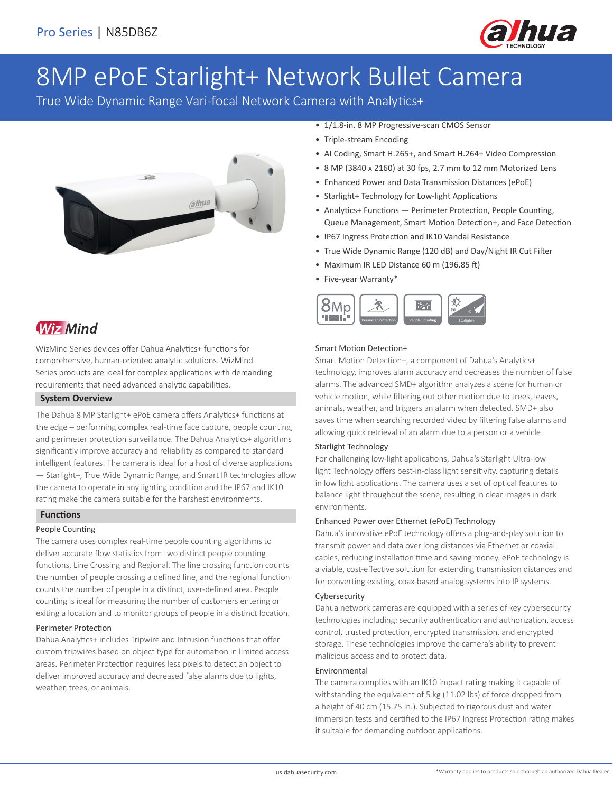

# 8MP ePoE Starlight+ Network Bullet Camera

True Wide Dynamic Range Vari-focal Network Camera with Analytics+



# **Wiz Mind**

WizMind Series devices offer Dahua Analytics+ functions for comprehensive, human-oriented analytic solutions. WizMind Series products are ideal for complex applications with demanding requirements that need advanced analytic capabilities.

### **System Overview**

The Dahua 8 MP Starlight+ ePoE camera offers Analytics+ functions at the edge – performing complex real-time face capture, people counting, and perimeter protection surveillance. The Dahua Analytics+ algorithms significantly improve accuracy and reliability as compared to standard intelligent features. The camera is ideal for a host of diverse applications — Starlight+, True Wide Dynamic Range, and Smart IR technologies allow the camera to operate in any lighting condition and the IP67 and IK10 rating make the camera suitable for the harshest environments.

### **Functions**

### People Counting

The camera uses complex real-time people counting algorithms to deliver accurate flow statistics from two distinct people counting functions, Line Crossing and Regional. The line crossing function counts the number of people crossing a defined line, and the regional function counts the number of people in a distinct, user-defined area. People counting is ideal for measuring the number of customers entering or exiting a location and to monitor groups of people in a distinct location.

### Perimeter Protection

Dahua Analytics+ includes Tripwire and Intrusion functions that offer custom tripwires based on object type for automation in limited access areas. Perimeter Protection requires less pixels to detect an object to deliver improved accuracy and decreased false alarms due to lights, weather, trees, or animals.

- 1/1.8-in. 8 MP Progressive-scan CMOS Sensor
- Triple-stream Encoding
- AI Coding, Smart H.265+, and Smart H.264+ Video Compression
- 8 MP (3840 x 2160) at 30 fps, 2.7 mm to 12 mm Motorized Lens
- Enhanced Power and Data Transmission Distances (ePoE)
- Starlight+ Technology for Low-light Applications
- Analytics+ Functions Perimeter Protection, People Counting, Queue Management, Smart Motion Detection+, and Face Detection
- IP67 Ingress Protection and IK10 Vandal Resistance
- True Wide Dynamic Range (120 dB) and Day/Night IR Cut Filter
- Maximum IR LED Distance 60 m (196.85 ft)
- Five-year Warranty\*



#### Smart Motion Detection+

Smart Motion Detection+, a component of Dahua's Analytics+ technology, improves alarm accuracy and decreases the number of false alarms. The advanced SMD+ algorithm analyzes a scene for human or vehicle motion, while filtering out other motion due to trees, leaves, animals, weather, and triggers an alarm when detected. SMD+ also saves time when searching recorded video by filtering false alarms and allowing quick retrieval of an alarm due to a person or a vehicle.

### Starlight Technology

For challenging low-light applications, Dahua's Starlight Ultra-low light Technology offers best-in-class light sensitivity, capturing details in low light applications. The camera uses a set of optical features to balance light throughout the scene, resulting in clear images in dark environments.

#### Enhanced Power over Ethernet (ePoE) Technology

Dahua's innovative ePoE technology offers a plug-and-play solution to transmit power and data over long distances via Ethernet or coaxial cables, reducing installation time and saving money. ePoE technology is a viable, cost-effective solution for extending transmission distances and for converting existing, coax-based analog systems into IP systems.

#### Cybersecurity

Dahua network cameras are equipped with a series of key cybersecurity technologies including: security authentication and authorization, access control, trusted protection, encrypted transmission, and encrypted storage. These technologies improve the camera's ability to prevent malicious access and to protect data.

#### Environmental

The camera complies with an IK10 impact rating making it capable of withstanding the equivalent of 5 kg (11.02 lbs) of force dropped from a height of 40 cm (15.75 in.). Subjected to rigorous dust and water immersion tests and certified to the IP67 Ingress Protection rating makes it suitable for demanding outdoor applications.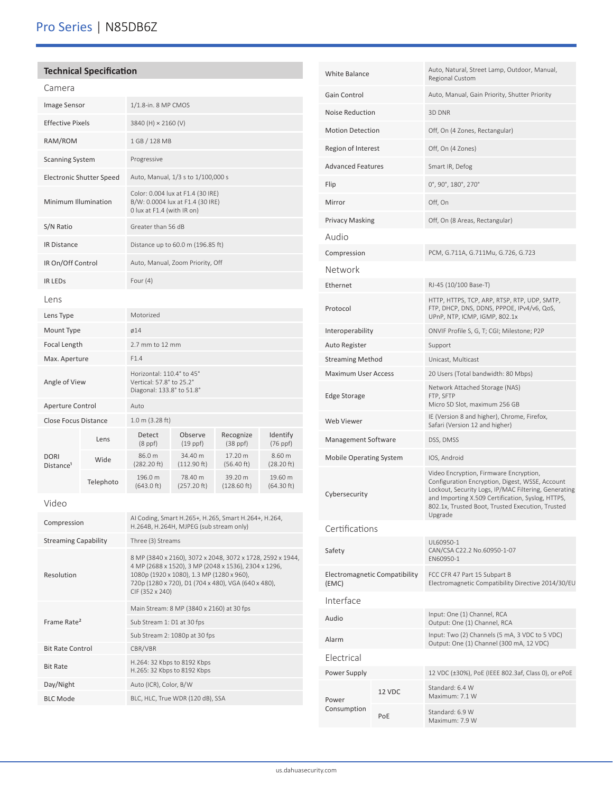# Pro Series | N85DB6Z

### **Technical Specification**

| Camera                               |                                 |                                                                                                                                                                 |                                    |                                  |                       |  |
|--------------------------------------|---------------------------------|-----------------------------------------------------------------------------------------------------------------------------------------------------------------|------------------------------------|----------------------------------|-----------------------|--|
| Image Sensor                         |                                 | 1/1.8-in. 8 MP CMOS                                                                                                                                             |                                    |                                  |                       |  |
| <b>Effective Pixels</b>              |                                 | 3840 (H) × 2160 (V)                                                                                                                                             |                                    |                                  |                       |  |
| RAM/ROM                              |                                 | 1 GB / 128 MB                                                                                                                                                   |                                    |                                  |                       |  |
| <b>Scanning System</b>               |                                 | Progressive                                                                                                                                                     |                                    |                                  |                       |  |
|                                      | <b>Electronic Shutter Speed</b> |                                                                                                                                                                 | Auto, Manual, 1/3 s to 1/100,000 s |                                  |                       |  |
| Minimum Illumination                 |                                 | Color: 0.004 lux at F1.4 (30 IRE)<br>B/W: 0.0004 lux at F1.4 (30 IRE)<br>0 lux at F1.4 (with IR on)                                                             |                                    |                                  |                       |  |
| S/N Ratio                            |                                 | Greater than 56 dB                                                                                                                                              |                                    |                                  |                       |  |
| <b>IR Distance</b>                   |                                 |                                                                                                                                                                 | Distance up to 60.0 m (196.85 ft)  |                                  |                       |  |
| IR On/Off Control                    |                                 |                                                                                                                                                                 | Auto, Manual, Zoom Priority, Off   |                                  |                       |  |
| <b>IR LEDS</b>                       |                                 | Four $(4)$                                                                                                                                                      |                                    |                                  |                       |  |
| Lens                                 |                                 |                                                                                                                                                                 |                                    |                                  |                       |  |
| Lens Type                            |                                 | Motorized                                                                                                                                                       |                                    |                                  |                       |  |
| Mount Type                           |                                 | ø14                                                                                                                                                             |                                    |                                  |                       |  |
| Focal Length                         |                                 | $2.7$ mm to 12 mm                                                                                                                                               |                                    |                                  |                       |  |
| Max. Aperture                        |                                 | F1.4                                                                                                                                                            |                                    |                                  |                       |  |
| Angle of View                        |                                 | Horizontal: 110.4° to 45°<br>Vertical: 57.8° to 25.2°<br>Diagonal: 133.8° to 51.8°                                                                              |                                    |                                  |                       |  |
| Aperture Control                     |                                 | Auto                                                                                                                                                            |                                    |                                  |                       |  |
| <b>Close Focus Distance</b>          |                                 | $1.0 \text{ m}$ (3.28 ft)                                                                                                                                       |                                    |                                  |                       |  |
|                                      | Lens                            | Detect<br>$(8$ ppf $)$                                                                                                                                          | Observe<br>$(19$ ppf)              | Recognize<br>$(38$ ppf $)$       | Identify<br>(76 ppf)  |  |
| <b>DORI</b><br>Distance <sup>1</sup> | Wide                            | 86.0 m<br>(282.20 ft)                                                                                                                                           | 34.40 m<br>$(112.90 \text{ ft})$   | 17.20 m<br>(56.40 ft)            | 8.60 m<br>(28.20 ft)  |  |
|                                      | Telephoto                       | 196.0 m<br>(643.0 ft)                                                                                                                                           | 78.40 m<br>(257.20 ft)             | 39.20 m<br>$(128.60 \text{ ft})$ | 19.60 m<br>(64.30 ft) |  |
| Video                                |                                 |                                                                                                                                                                 |                                    |                                  |                       |  |
| Compression                          |                                 | AI Coding, Smart H.265+, H.265, Smart H.264+, H.264,<br>H.264B, H.264H, MJPEG (sub stream only)                                                                 |                                    |                                  |                       |  |
| <b>Streaming Capability</b>          |                                 | Three (3) Streams                                                                                                                                               |                                    |                                  |                       |  |
| Resolution                           |                                 | 8 MP (3840 x 2160), 3072 x 2048, 3072 x 1728, 2592 x 1944,<br>4 MP (2688 x 1520), 3 MP (2048 x 1536), 2304 x 1296,<br>1080p (1920 x 1080), 1.3 MP (1280 x 960), |                                    |                                  |                       |  |

1080p (1920 x 1080), 1.3 MP (1280 x 960), 720p (1280 x 720), D1 (704 x 480), VGA (640 x 480),

Main Stream: 8 MP (3840 x 2160) at 30 fps

CIF (352 x 240)

Sub Stream 1: D1 at 30 fps Sub Stream 2: 1080p at 30 fps

H.265: 32 Kbps to 8192 Kbps

Frame Rate²

Bit Rate Control CBR/VBR

Bit Rate H.264: 32 Kbps to 8192 Kbps<br>H.265: 32 Kbps to 8102 Kbps

BLC Mode BLC, HLC, True WDR (120 dB), SSA

Day/Night Auto (ICR), Color, B/W

| Gain Control                           |        | Auto, Manual, Gain Priority, Shutter Priority                                                                                                                                                                                                                         |  |
|----------------------------------------|--------|-----------------------------------------------------------------------------------------------------------------------------------------------------------------------------------------------------------------------------------------------------------------------|--|
| Noise Reduction                        |        | 3D DNR                                                                                                                                                                                                                                                                |  |
| <b>Motion Detection</b>                |        | Off, On (4 Zones, Rectangular)                                                                                                                                                                                                                                        |  |
| Region of Interest                     |        | Off, On (4 Zones)                                                                                                                                                                                                                                                     |  |
| <b>Advanced Features</b>               |        | Smart IR, Defog                                                                                                                                                                                                                                                       |  |
| Flip                                   |        | 0°, 90°, 180°, 270°                                                                                                                                                                                                                                                   |  |
| Mirror                                 |        | Off, On                                                                                                                                                                                                                                                               |  |
| <b>Privacy Masking</b>                 |        | Off, On (8 Areas, Rectangular)                                                                                                                                                                                                                                        |  |
| Audio                                  |        |                                                                                                                                                                                                                                                                       |  |
| Compression                            |        | PCM, G.711A, G.711Mu, G.726, G.723                                                                                                                                                                                                                                    |  |
| Network                                |        |                                                                                                                                                                                                                                                                       |  |
| Ethernet                               |        | RJ-45 (10/100 Base-T)                                                                                                                                                                                                                                                 |  |
| Protocol                               |        | HTTP, HTTPS, TCP, ARP, RTSP, RTP, UDP, SMTP,<br>FTP, DHCP, DNS, DDNS, PPPOE, IPv4/v6, QoS,<br>UPnP, NTP, ICMP, IGMP, 802.1x                                                                                                                                           |  |
| Interoperability                       |        | ONVIF Profile S, G, T; CGI; Milestone; P2P                                                                                                                                                                                                                            |  |
| Auto Register                          |        | Support                                                                                                                                                                                                                                                               |  |
| <b>Streaming Method</b>                |        | Unicast, Multicast                                                                                                                                                                                                                                                    |  |
| <b>Maximum User Access</b>             |        | 20 Users (Total bandwidth: 80 Mbps)                                                                                                                                                                                                                                   |  |
| Edge Storage                           |        | Network Attached Storage (NAS)<br>FTP, SFTP<br>Micro SD Slot, maximum 256 GB                                                                                                                                                                                          |  |
| <b>Web Viewer</b>                      |        | IE (Version 8 and higher), Chrome, Firefox,<br>Safari (Version 12 and higher)                                                                                                                                                                                         |  |
| Management Software                    |        | DSS, DMSS                                                                                                                                                                                                                                                             |  |
| <b>Mobile Operating System</b>         |        | IOS, Android                                                                                                                                                                                                                                                          |  |
| Cybersecurity                          |        | Video Encryption, Firmware Encryption,<br>Configuration Encryption, Digest, WSSE, Account<br>Lockout, Security Logs, IP/MAC Filtering, Generating<br>and Importing X.509 Certification, Syslog, HTTPS,<br>802.1x, Trusted Boot, Trusted Execution, Trusted<br>Upgrade |  |
| Certifications                         |        |                                                                                                                                                                                                                                                                       |  |
| Safety                                 |        | UL60950-1<br>CAN/CSA C22.2 No.60950-1-07<br>EN60950-1                                                                                                                                                                                                                 |  |
| Electromagnetic Compatibility<br>(EMC) |        | FCC CFR 47 Part 15 Subpart B<br>Electromagnetic Compatibility Directive 2014/30/EU                                                                                                                                                                                    |  |
| Interface                              |        |                                                                                                                                                                                                                                                                       |  |
| Audio                                  |        | Input: One (1) Channel, RCA<br>Output: One (1) Channel, RCA                                                                                                                                                                                                           |  |
| Alarm                                  |        | Input: Two (2) Channels (5 mA, 3 VDC to 5 VDC)<br>Output: One (1) Channel (300 mA, 12 VDC)                                                                                                                                                                            |  |
| Flectrical                             |        |                                                                                                                                                                                                                                                                       |  |
| Power Supply                           |        | 12 VDC (±30%), PoE (IEEE 802.3af, Class 0), or ePoE                                                                                                                                                                                                                   |  |
| Power                                  | 12 VDC | Standard: 6.4 W<br>Maximum: 7.1 W                                                                                                                                                                                                                                     |  |
| Consumption                            | PoE    | Standard: 6.9 W<br>Maximum: 7.9 W                                                                                                                                                                                                                                     |  |

White Balance Auto, Natural, Street Lamp, Outdoor, Manual, Regional Custom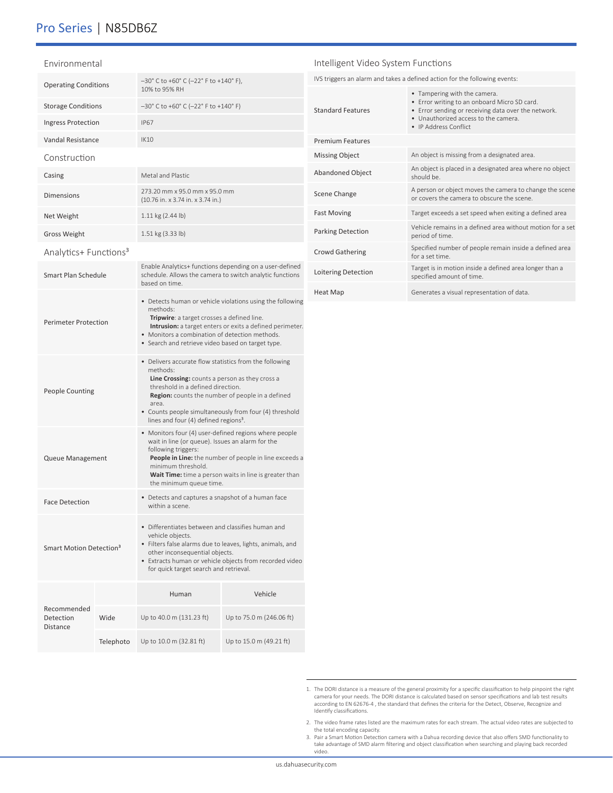### Pro Series | N85DB6Z

Ingress Protection IP67 Vandal Resistance IK10

Casing **Metal and Plastic** Metal and Plastic

Net Weight 1.11 kg (2.44 lb)

Operating Conditions  $-30^{\circ}$  C to +60° C (-22° F to +140° F),

Storage Conditions –30° C to +60° C (–22° F to +140° F)

Dimensions 273.20 mm x 95.0 mm x 95.0 mm

10% to 95% RH

(10.76 in. x 3.74 in. x 3.74 in.)

| Environmental |  |
|---------------|--|
|               |  |

Construction

|        | Intelligent Video System Functions |                                                                                                                                                                                                      |  |  |
|--------|------------------------------------|------------------------------------------------------------------------------------------------------------------------------------------------------------------------------------------------------|--|--|
|        |                                    | IVS triggers an alarm and takes a defined action for the following events:                                                                                                                           |  |  |
|        | <b>Standard Features</b>           | • Tampering with the camera.<br>• Error writing to an onboard Micro SD card.<br>• Error sending or receiving data over the network.<br>. Unauthorized access to the camera.<br>• IP Address Conflict |  |  |
|        | <b>Premium Features</b>            |                                                                                                                                                                                                      |  |  |
|        | <b>Missing Object</b>              | An object is missing from a designated area.                                                                                                                                                         |  |  |
|        | <b>Abandoned Object</b>            | An object is placed in a designated area where no object<br>ad bluods                                                                                                                                |  |  |
|        | Scene Change                       | A person or object moves the camera to change the scene<br>or covers the camera to obscure the scene.                                                                                                |  |  |
|        | <b>Fast Moving</b>                 | Target exceeds a set speed when exiting a defined area                                                                                                                                               |  |  |
|        | Parking Detection                  | Vehicle remains in a defined area without motion for a set<br>period of time.                                                                                                                        |  |  |
|        | <b>Crowd Gathering</b>             | Specified number of people remain inside a defined area<br>for a set time                                                                                                                            |  |  |
| d<br>S | Loitering Detection                | Target is in motion inside a defined area longer than a<br>specified amount of time.                                                                                                                 |  |  |
|        | Heat Map                           | Generates a visual representation of data.                                                                                                                                                           |  |  |

| <b>Gross Weight</b>                         |           | 1.51 kg (3.33 lb)                                                                                                                                                                                                                                                                                                                     |                          |  |
|---------------------------------------------|-----------|---------------------------------------------------------------------------------------------------------------------------------------------------------------------------------------------------------------------------------------------------------------------------------------------------------------------------------------|--------------------------|--|
| Analytics+ Functions <sup>3</sup>           |           |                                                                                                                                                                                                                                                                                                                                       |                          |  |
| Smart Plan Schedule                         |           | Enable Analytics+ functions depending on a user-defined<br>schedule. Allows the camera to switch analytic functions<br>based on time.                                                                                                                                                                                                 |                          |  |
| <b>Perimeter Protection</b>                 |           | • Detects human or vehicle violations using the following<br>methods:<br>Tripwire: a target crosses a defined line.<br>Intrusion: a target enters or exits a defined perimeter.<br>• Monitors a combination of detection methods.<br>• Search and retrieve video based on target type.                                                |                          |  |
| <b>People Counting</b>                      |           | • Delivers accurate flow statistics from the following<br>methods:<br>Line Crossing: counts a person as they cross a<br>threshold in a defined direction.<br>Region: counts the number of people in a defined<br>area.<br>• Counts people simultaneously from four (4) threshold<br>lines and four (4) defined regions <sup>3</sup> . |                          |  |
| Queue Management                            |           | • Monitors four (4) user-defined regions where people<br>wait in line (or queue). Issues an alarm for the<br>following triggers:<br>People in Line: the number of people in line exceeds a<br>minimum threshold.<br>Wait Time: time a person waits in line is greater than<br>the minimum queue time.                                 |                          |  |
| <b>Face Detection</b>                       |           | • Detects and captures a snapshot of a human face<br>within a scene.                                                                                                                                                                                                                                                                  |                          |  |
| Smart Motion Detection <sup>3</sup>         |           | • Differentiates between and classifies human and<br>vehicle objects.<br>· Filters false alarms due to leaves, lights, animals, and<br>other inconsequential objects.<br>• Extracts human or vehicle objects from recorded video<br>for quick target search and retrieval.                                                            |                          |  |
|                                             |           | Human                                                                                                                                                                                                                                                                                                                                 | Vehicle                  |  |
| Recommended<br>Detection<br><b>Distance</b> | Wide      | Up to 40.0 m (131.23 ft)                                                                                                                                                                                                                                                                                                              | Up to 75.0 m (246.06 ft) |  |
|                                             | Telephoto | Up to 10.0 m (32.81 ft)                                                                                                                                                                                                                                                                                                               | Up to 15.0 m (49.21 ft)  |  |

<sup>1.</sup> The DORI distance is a measure of the general proximity for a specific classification to help pinpoint the right camera for your needs. The DORI distance is calculated based on sensor specifications and lab test results according to EN 62676-4 , the standard that defines the criteria for the Detect, Observe, Recognize and Identify classifications.

2. The video frame rates listed are the maximum rates for each stream. The actual video rates are subjected to the total encoding capacity.

3. Pair a Smart Motion Detection camera with a Dahua recording device that also offers SMD functionality to take advantage of SMD alarm filtering and object classification when searching and playing back recorded video.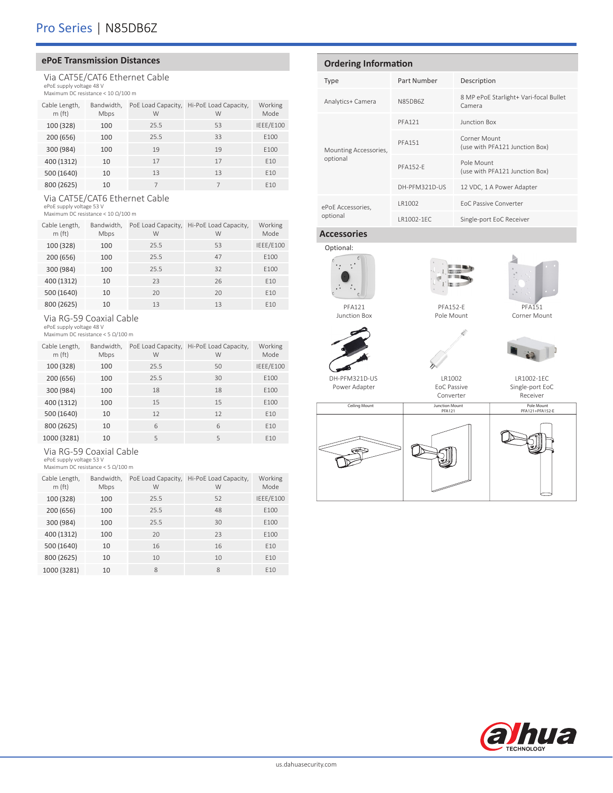### **ePoE Transmission Distances**

Via CAT5E/CAT6 Ethernet Cable ePoE supply voltage 48 V Maximum DC resistance < 10 Ω/100 m

| Cable Length,<br>m(ft) | Bandwidth,<br>Mbps | PoE Load Capacity,<br>W | Hi-PoE Load Capacity,<br>W | Working<br>Mode |
|------------------------|--------------------|-------------------------|----------------------------|-----------------|
| 100 (328)              | 100                | 25.5                    | 53                         | IEEE/E100       |
| 200 (656)              | 100                | 25.5                    | 33                         | E100            |
| 300 (984)              | 100                | 19                      | 19                         | E100            |
| 400 (1312)             | 10                 | 17                      | 17                         | F <sub>10</sub> |
| 500 (1640)             | 10                 | 13                      | 13                         | E10             |
| 800 (2625)             | 10                 |                         |                            | F <sub>10</sub> |

Via CAT5E/CAT6 Ethernet Cable

ePoE supply voltage 53 V Maximum DC resistance < 10 Ω/100 m

| Cable Length,<br>m(ft) | Bandwidth,<br>Mbps | PoE Load Capacity,<br>W | Hi-PoE Load Capacity,<br>W | Working<br>Mode |
|------------------------|--------------------|-------------------------|----------------------------|-----------------|
| 100 (328)              | 100                | 25.5                    | 53                         | IEEE/E100       |
| 200 (656)              | 100                | 25.5                    | 47                         | E100            |
| 300 (984)              | 100                | 25.5                    | 32                         | E100            |
| 400 (1312)             | 10                 | 23                      | 26                         | E10             |
| 500 (1640)             | 10                 | 20                      | 20                         | E10             |
| 800 (2625)             | 10                 | 13                      | 13                         | F <sub>10</sub> |

### Via RG-59 Coaxial Cable

ePoE supply voltage 48 V Maximum DC resistance < 5 Ω/100 m

| Cable Length,<br>m(f <sub>t</sub> ) | Bandwidth,<br>Mbps | PoE Load Capacity,<br>W | Hi-PoE Load Capacity,<br>W | Working<br>Mode |
|-------------------------------------|--------------------|-------------------------|----------------------------|-----------------|
| 100 (328)                           | 100                | 25.5                    | 50                         | IEEE/E100       |
| 200 (656)                           | 100                | 25.5                    | 30                         | E100            |
| 300 (984)                           | 100                | 18                      | 18                         | E100            |
| 400 (1312)                          | 100                | 15                      | 15                         | E100            |
| 500 (1640)                          | 10                 | 12                      | 12                         | E10             |
| 800 (2625)                          | 10                 | 6                       | 6                          | F <sub>10</sub> |
| 1000 (3281)                         | 10                 | 5                       | 5                          | F <sub>10</sub> |

### Via RG-59 Coaxial Cable

ePoE supply voltage 53 V Maximum DC resistance < 5 Ω/100 m

| Cable Length,<br>m(f <sub>t</sub> ) | Bandwidth,<br>Mbps | PoE Load Capacity,<br>W | Hi-PoE Load Capacity,<br>W | Working<br>Mode |
|-------------------------------------|--------------------|-------------------------|----------------------------|-----------------|
| 100 (328)                           | 100                | 25.5                    | 52                         | IEEE/E100       |
| 200 (656)                           | 100                | 25.5                    | 48                         | E100            |
| 300 (984)                           | 100                | 25.5                    | 30                         | E100            |
| 400 (1312)                          | 100                | 20                      | 23                         | E100            |
| 500 (1640)                          | 10                 | 16                      | 16                         | E10             |
| 800 (2625)                          | 10                 | 10                      | 10                         | E10             |
| 1000 (3281)                         | 10                 | 8                       | 8                          | E10             |

### **Ordering Information**

| Type                  | Part Number     | Description                                      |
|-----------------------|-----------------|--------------------------------------------------|
| Analytics+ Camera     | N85DB67         | 8 MP ePoE Starlight+ Vari-focal Bullet<br>Camera |
|                       | <b>PFA121</b>   | Junction Box                                     |
| Mounting Accessories, | <b>PFA151</b>   | Corner Mount<br>(use with PFA121 Junction Box)   |
| optional              | <b>PFA152-F</b> | Pole Mount<br>(use with PFA121 Junction Box)     |
|                       | DH-PFM321D-US   | 12 VDC, 1 A Power Adapter                        |
| ePoE Accessories,     | LR1002          | FoC Passive Converter                            |
| optional              | LR1002-1FC      | Single-port EoC Receiver                         |

### **Accessories**



Junction Box

DH-PFM321D-US Power Adapter



Pole Mount



PFA151 Corner Mount





LR1002-1EC

LR1002 EoC Passive Converter

Single-port EoC